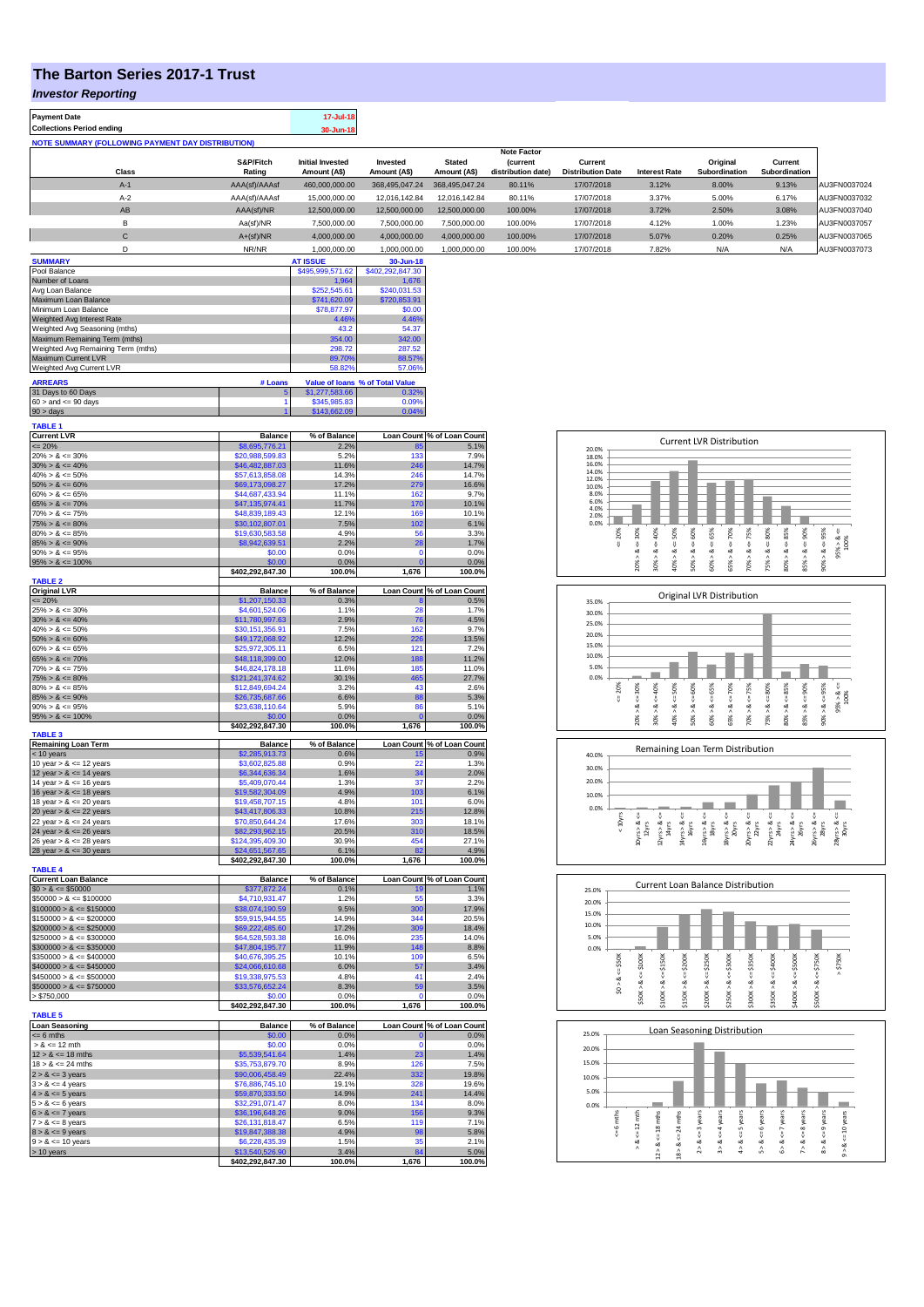## **The Barton Series 2017-1 Trust**

**Payment Date 17-Jul-18** 

*Investor Reporting*

| Collections Period ending                                |                     | 30-Jun-18                               |                          |                               |                                                             |                                     |                      |                           |                          |              |
|----------------------------------------------------------|---------------------|-----------------------------------------|--------------------------|-------------------------------|-------------------------------------------------------------|-------------------------------------|----------------------|---------------------------|--------------------------|--------------|
| <b>NOTE SUMMARY (FOLLOWING PAYMENT DAY DISTRIBUTION)</b> |                     |                                         |                          |                               |                                                             |                                     |                      |                           |                          |              |
| Class                                                    | S&P/Fitch<br>Rating | <b>Initial Invested</b><br>Amount (A\$) | Invested<br>Amount (A\$) | <b>Stated</b><br>Amount (A\$) | <b>Note Factor</b><br><b>(current</b><br>distribution date) | Current<br><b>Distribution Date</b> | <b>Interest Rate</b> | Original<br>Subordination | Current<br>Subordination |              |
| $A-1$                                                    | AAA(sf)/AAAsf       | 460.000.000.00                          | 368.495.047.24           | 368,495,047,24                | 80.11%                                                      | 17/07/2018                          | 3.12%                | 8.00%                     | 9.13%                    | AU3FN0037024 |
| $A-2$                                                    | AAA(sf)/AAAsf       | 15,000,000,00                           | 12.016.142.84            | 12.016.142.84                 | 80.11%                                                      | 17/07/2018                          | 3.37%                | 5.00%                     | 6.17%                    | AU3FN0037032 |
| AB                                                       | AAA(sf)/NR          | 12,500,000.00                           | 12,500,000.00            | 12,500,000.00                 | 100.00%                                                     | 17/07/2018                          | 3.72%                | 2.50%                     | 3.08%                    | AU3FN0037040 |
| B                                                        | Aa(sf)/NR           | 7.500.000.00                            | 7,500,000.00             | 7,500,000.00                  | 100.00%                                                     | 17/07/2018                          | 4.12%                | 1.00%                     | 1.23%                    | AU3FN0037057 |
| $\mathbf{C}$                                             | $A+(sf)/NR$         | 4.000.000.00                            | 4.000.000.00             | 4.000.000.00                  | 100.00%                                                     | 17/07/2018                          | 5.07%                | 0.20%                     | 0.25%                    | AU3FN0037065 |
| D                                                        | NR/NR               | 1.000.000.00                            | 1.000.000.00             | 1.000.000.00                  | 100.00%                                                     | 17/07/2018                          | 7.82%                | N/A                       | N/A                      | AU3FN0037073 |
| <b>SUMMARY</b>                                           |                     | <b>AT ISSUE</b>                         | 30-Jun-18                |                               |                                                             |                                     |                      |                           |                          |              |
| Pool Balance                                             |                     | \$495,999,571.62                        | \$402,292,847.30         |                               |                                                             |                                     |                      |                           |                          |              |
| Number of Loans                                          |                     | 1,964                                   | 1,676                    |                               |                                                             |                                     |                      |                           |                          |              |

| 31 Days to 60 Days                 | 5 <sup>1</sup> | \$1,277,583,66 | 0.32%                           |
|------------------------------------|----------------|----------------|---------------------------------|
| <b>ARREARS</b>                     | # Loans        |                | Value of Ioans % of Total Value |
| Weighted Avg Current LVR           |                | 58.82%         | 57.06%                          |
| <b>Maximum Current LVR</b>         |                | 89.70%         | 88.57%                          |
| Weighted Avg Remaining Term (mths) |                | 298.72         | 287.52                          |
| Maximum Remaining Term (mths)      |                | 354.00         | 342.00                          |
| Weighted Avg Seasoning (mths)      |                | 43.2           | 54.37                           |
| Weighted Avg Interest Rate         |                | 4.46%          | 4.46%                           |
| Minimum Loan Balance               |                | \$78,877.97    | \$0.00                          |
| Maximum Loan Balance               |                | \$741,620.09   | \$720,853.91                    |
| Avg Loan Balance                   |                | \$252,545.61   | \$240,031.53                    |

| $60 >$ and $\leq 90$ days | \$345,985,83 | $0.09\%$ |
|---------------------------|--------------|----------|
| $90 > \text{days}$        | \$143,662.09 | .04%     |
|                           |              |          |
| <b>TABLE 1</b>            |              |          |

| <b>Current LVR</b>          | <b>Balance</b>   | % of Balance   |                   | Loan Count % of Loan Count |
|-----------------------------|------------------|----------------|-------------------|----------------------------|
| $= 20%$                     | \$8,695,776.21   | 2.2%           | 85                | 5.1%                       |
| $20\% > 8 \le 30\%$         | \$20,988,599.83  | 5.2%           | 133               | 7.9%                       |
| $30\% > 8 \le 40\%$         | \$46,482,887.03  | 11.6%          | 246               | 14.7%                      |
| $40\% > 8 \le 50\%$         | \$57,613,858.08  | 14.3%          | 246               | 14.7%                      |
| $50\% > 8 \le 60\%$         | \$69,173,098.27  | 17.2%          | 279               | 16.6%                      |
|                             |                  |                |                   |                            |
| $60\% > 8 \le 65\%$         | \$44,687,433.94  | 11.1%          | 162               | 9.7%                       |
| $65\% > 8 \le 70\%$         | \$47,135,974.41  | 11.7%          | 170               | 10.1%                      |
| $70\% > 8 \le 75\%$         | \$48,839,189.43  | 12.1%          | 169               | 10.1%                      |
| $75\% > 8 \le 80\%$         | \$30,102,807.01  | 7.5%           | 102               | 6.1%                       |
| $80\% > 8 \le 85\%$         | \$19,630,583.58  | 4.9%           | 56                | 3.3%                       |
| $85\% > 8 \le 90\%$         | \$8,942,639.51   | 2.2%           | 28                | 1.7%                       |
| $90\% > 8 \le 95\%$         | \$0.00           | 0.0%           | $\Omega$          | 0.0%                       |
|                             |                  |                | $\Omega$          |                            |
| $95\% > 8 \le 100\%$        | \$0.00           | 0.0%           |                   | 0.0%                       |
|                             | \$402,292,847.30 | 100.0%         | 1,676             | 100.0%                     |
| <b>TABLE 2</b>              |                  |                |                   |                            |
| <b>Original LVR</b>         | <b>Balance</b>   | % of Balance   |                   | Loan Count % of Loan Count |
| $= 20%$                     | \$1,207,150.33   | 0.3%           |                   | 0.5%                       |
| $25\% > 8 \le 30\%$         | \$4,601,524.06   | 1.1%           | 28                | 1.7%                       |
| $30\% > 8 \le 40\%$         | \$11,780,997.63  | 2.9%           | 76                | 4.5%                       |
| $40\% > 8 \le 50\%$         | \$30,151,356.91  | 7.5%           | 162               | 9.7%                       |
| $50\% > 8 \le 60\%$         | \$49,172,068.92  | 12.2%          | 226               | 13.5%                      |
| $60\% > 8 \le 65\%$         | \$25,972,305.11  | 6.5%           | 121               | 7.2%                       |
| $65\% > 8 \le 70\%$         |                  | 12.0%          | 188               | 11.2%                      |
|                             | \$48,118,399.00  |                |                   |                            |
| $70\% > 8 \le 75\%$         | \$46,824,178.18  | 11.6%          | 185               | 11.0%                      |
| $75\% > 8 \le 80\%$         | \$121,241,374.62 | 30.1%          | 465               | 27.7%                      |
| $80\% > 8 \le 85\%$         | \$12,849,694.24  | 3.2%           | 43                | 2.6%                       |
| $85\% > 8 \le 90\%$         | \$26,735,687.66  | 6.6%           | 88                | 5.3%                       |
| $90\% > 8 \le 95\%$         | \$23,638,110.64  | 5.9%           | 86                | 5.1%                       |
| $95\% > 8 \le 100\%$        | \$0.00           | 0.0%           | Ċ                 | 0.0%                       |
|                             | \$402,292,847.30 | 100.0%         | 1,676             | 100.0%                     |
| <b>TABLE 3</b>              |                  |                |                   |                            |
| <b>Remaining Loan Term</b>  | <b>Balance</b>   | % of Balance   |                   | Loan Count % of Loan Count |
| < 10 years                  | \$2,285,913.73   | 0.6%           | 15                | 0.9%                       |
| 10 year $> 8 \le 12$ years  | \$3,602,825.88   | 0.9%           | 22                | 1.3%                       |
|                             |                  |                |                   |                            |
| 12 year $> 8 \le 14$ years  | \$6,344,636.34   | 1.6%           | 34                | 2.0%                       |
| 14 year $> 8 \le 16$ years  | \$5,409,070.44   | 1.3%           | 37                | 2.2%                       |
| 16 year $> 8 \le 18$ years  | \$19,582,304.09  | 4.9%           | 103               | 6.1%                       |
| 18 year $> 8 \le 20$ years  | \$19,458,707.15  | 4.8%           | 101               | 6.0%                       |
| 20 year $> 8 \le 22$ years  | \$43,417,806.33  | 10.8%          | 215               | 12.8%                      |
| 22 year $> 8 \le 24$ years  | \$70,850,644.24  | 17.6%          | 303               | 18.1%                      |
| 24 year $> 8 \le 26$ years  | \$82,293,962.15  | 20.5%          | 310               | 18.5%                      |
| 26 year $> 8 \le 28$ years  | \$124,395,409.30 | 30.9%          | 454               | 27.1%                      |
|                             |                  |                |                   |                            |
| 28 year $> 8 \le 30$ years  | \$24,651,567.65  | 6.1%           | 82                | 4.9%                       |
|                             | \$402,292,847.30 | 100.0%         | 1,676             | 100.0%                     |
| <b>TABLE 4</b>              |                  |                |                   |                            |
| <b>Current Loan Balance</b> | <b>Balance</b>   | % of Balance   | <b>Loan Count</b> | % of Loan Count            |
| $$0 > 8 \le $50000$         | \$377,872.24     | 0.1%           |                   | 1.1%                       |
| $$50000 > 8 \le $100000$    | \$4,710,931.47   | 1.2%           | 55                | 3.3%                       |
| $$100000 > 8 \le $150000$   | \$38,074,190.59  |                |                   |                            |
| $$150000 > 8 \le $200000$   |                  | 9.5%           | 300               | 17.9%                      |
|                             |                  |                |                   |                            |
|                             | \$59,915,944.55  | 14.9%          | 344               | 20.5%                      |
| $$200000 > 8 \leq $250000$  | \$69,222,485.60  | 17.2%          | 309               | 18.4%                      |
| $$250000 > 8 \leq $300000$  | \$64,528,593.38  | 16.0%          | 235               | 14.0%                      |
| $$300000 > 8 \leq $350000$  | \$47,804,195.77  | 11.9%          | 148               | 8.8%                       |
| $$350000 > 8 \le $400000$   | \$40,676,395.25  | 10.1%          | 109               | 6.5%                       |
| $$400000 > 8 \le $450000$   | \$24,066,610.68  | 6.0%           | 57                | 3.4%                       |
| $$450000 > 8 \le $500000$   | \$19,338,975.53  | 4.8%           | 41                | 2.4%                       |
| $$500000 > 8 \le $750000$   | \$33,576,652.24  | 8.3%           | 59                | 3.5%                       |
|                             | \$0.00           |                | $\Omega$          |                            |
| > \$750,000                 | \$402,292,847.30 | 0.0%<br>100.0% | 1,676             | 0.0%<br>100.0%             |
|                             |                  |                |                   |                            |
| <b>TABLE 5</b>              |                  |                |                   |                            |
| <b>Loan Seasoning</b>       | <b>Balance</b>   | % of Balance   | <b>Loan Count</b> | % of Loan Count            |
| $= 6$ mths                  | \$0.00           | 0.0%           |                   | 0.0%                       |
| $> 8 \le 12$ mth            | \$0.00           | 0.0%           | $\Omega$          | 0.0%                       |
| $12 > 8 \le 18$ mths        | \$5,539,541.64   | 1.4%           | 23                | 1.4%                       |
| $18 > 8 \le 24$ mths        | \$35,753,879.70  | 8.9%           | 126               | 7.5%                       |
| $2 > 8 \le 3$ years         | \$90,006,458.49  | 22.4%          | 332               | 19.8%                      |
| $3 > 8 \le 4$ years         | \$76,886,745.10  | 19.1%          | 328               | 19.6%                      |
|                             | \$59,870,333.50  | 14.9%          | 241               | 14.4%                      |
| $4 > 8 \le 5$ years         |                  |                |                   |                            |
| $5 > 8 \le 6$ years         | \$32,291,071.47  | 8.0%           | 134               | 8.0%                       |
| $6 > 8 \le 7$ years         | \$36,196,648.26  | 9.0%           | 156               | 9.3%                       |
| $7 > 8 \le 8$ years         | \$26,131,818.47  | 6.5%           | 119               | 7.1%                       |
| $8 > 8 \le 9$ years         | \$19,847,388.38  | 4.9%           | 98                | 5.8%                       |
| $9 > 8 \le 10$ years        | \$6,228,435.39   | 1.5%           | 35                | 2.1%                       |
| > 10 years                  | \$13,540,526.90  | 3.4%           | 84                | 5.0%                       |
|                             | \$402,292,847.30 | 100.0%         | 1,676             | 100.0%                     |

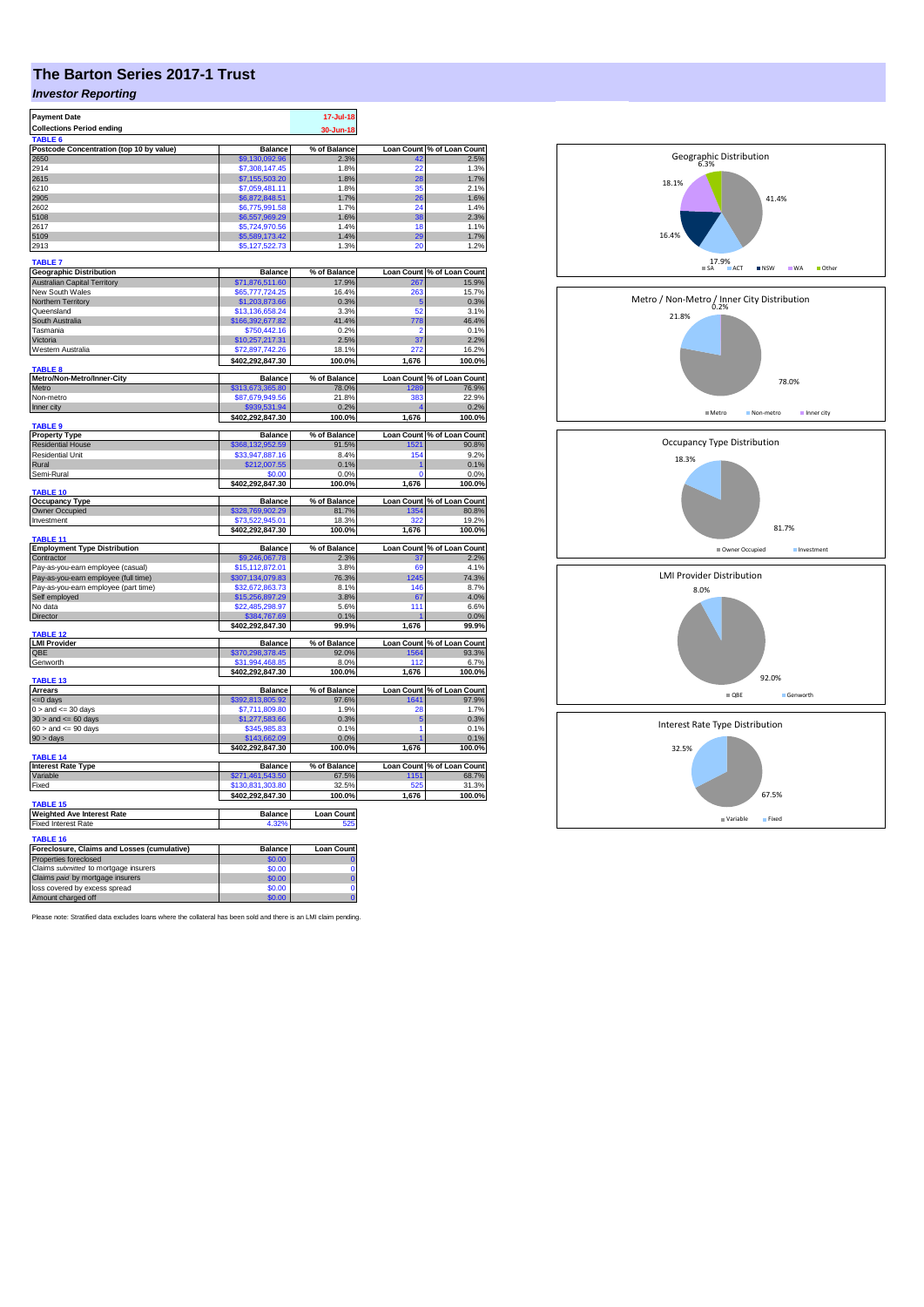## **The Barton Series 2017-1 Trust**

## *Investor Reporting*

| <b>Payment Date</b>                                 |                                      | 17-Jul-18         |              |                                         |
|-----------------------------------------------------|--------------------------------------|-------------------|--------------|-----------------------------------------|
| <b>Collections Period ending</b>                    |                                      | 30-Jun-18         |              |                                         |
| TABLE <sub>6</sub>                                  |                                      |                   |              |                                         |
| Postcode Concentration (top 10 by value)            | <b>Balance</b>                       | % of Balance      |              | Loan Count % of Loan Count              |
| 2650                                                | \$9,130,092.96                       | 2.3%              | 49           | 2.5%                                    |
| 2914                                                | \$7,308,147.45                       | 1.8%              | 22           | 1.3%                                    |
| 2615                                                | \$7,155,503.20                       | 1.8%              | 28           | 1.7%                                    |
| 6210                                                | \$7,059,481.11                       | 1.8%              | 35           | 2.1%                                    |
| 2905                                                | \$6,872,848.51                       | 1.7%              | 26           | 1.6%                                    |
| 2602                                                | \$6,775,991.58                       | 1.7%              | 24           | 1.4%                                    |
| 5108                                                | \$6,557,969.29                       | 1.6%              | 38           | 2.3%                                    |
| 2617                                                | \$5,724,970.56                       | 1.4%              | 18           | 1.1%                                    |
| 5109                                                | \$5,589,173.42                       | 1.4%              | 29           | 1.7%                                    |
| 2913                                                | \$5,127,522.73                       | 1.3%              | 20           | 1.2%                                    |
| <b>TABLE 7</b><br><b>Geographic Distribution</b>    | <b>Balance</b>                       | % of Balance      |              |                                         |
| <b>Australian Capital Territory</b>                 | \$71,876,511.60                      | 17.9%             |              | Loan Count % of Loan Count<br>267 15.9% |
| New South Wales                                     | \$65,777,724.25                      | 16.4%             | 263          | 15.7%                                   |
| Northern Territory                                  | \$1,203,873.66                       | 0.3%              | -5           | 0.3%                                    |
| Queensland                                          | \$13,136,658.24                      | 3.3%              | 52           | 3.1%                                    |
| South Australia                                     | \$166,392,677.82                     | 41.4%             | 778          | 46.4%                                   |
| Tasmania                                            | \$750,442.16                         | 0.2%              | 2            | 0.1%                                    |
| Victoria                                            | \$10,257,217.31                      | 2.5%              | 37           | 2.2%                                    |
| Western Australia                                   | \$72,897,742.26                      | 18.1%             | 272          | 16.2%                                   |
|                                                     | \$402,292,847.30                     | 100.0%            | 1,676        | 100.0%                                  |
| <b>TABLE 8</b>                                      |                                      |                   |              |                                         |
| Metro/Non-Metro/Inner-City                          | <b>Balance</b>                       | % of Balance      |              | Loan Count % of Loan Count              |
| Metro                                               | \$313,673,365.80                     | 78.0%             | 1289         | 76.9%                                   |
| Non-metro                                           | \$87,679,949.56                      | 21.8%             | 383          | 22.9%                                   |
| Inner city                                          | \$939,531.94<br>\$402,292,847.30     | 0.2%<br>100.0%    |              | 0.2%<br>100.0%                          |
| TABLE <sub>9</sub>                                  |                                      |                   | 1,676        |                                         |
| <b>Property Type</b>                                | <b>Balance</b>                       | % of Balance      |              | Loan Count % of Loan Count              |
| <b>Residential House</b>                            | \$368,132,952.59                     | 91.5%             | 1521         | 90.8%                                   |
| <b>Residential Unit</b>                             | \$33,947,887.16                      | 8.4%              | 154          | 9.2%                                    |
| Rural                                               | \$212,007.55                         | 0.1%              |              | 0.1%                                    |
| Semi-Rural                                          | \$0.00                               | 0.0%              | 0            | 0.0%                                    |
|                                                     | \$402,292,847.30                     | 100.0%            | 1,676        | 100.0%                                  |
| <b>TABLE 10</b>                                     |                                      |                   |              |                                         |
| <b>Occupancy Type</b>                               | <b>Balance</b>                       | % of Balance      |              | Loan Count % of Loan Count              |
| Owner Occupied                                      | \$328,769,902.29                     | 81.7%             | 1354         | 80.8%                                   |
| Investment                                          | \$73,522,945.01                      | 18.3%             | 322          | 19.2%                                   |
| TABLE 11                                            | \$402,292,847.30                     | 100.0%            | 1,676        | 100.0%                                  |
| <b>Employment Type Distribution</b>                 | <b>Balance</b>                       | % of Balance      |              | Loan Count % of Loan Count              |
| Contractor                                          | \$9,246,067.78                       | 2.3%              |              | 2.2%                                    |
| Pay-as-you-earn employee (casual)                   | \$15,112,872.01                      | 3.8%              | 69           | 4.1%                                    |
| Pay-as-you-earn employee (full time)                | \$307,134,079.83                     | 76.3%             | 1245         | 74.3%                                   |
| Pay-as-you-earn employee (part time)                | \$32,672,863.73                      | 8.1%              | 146          | 8.7%                                    |
| Self employed                                       | \$15,256,897.29                      | 3.8%              | 67           | 4.0%                                    |
| No data                                             | \$22,485,298.97                      | 5.6%              | 111          | 6.6%                                    |
| Director                                            | \$384,767.69                         | 0.1%              |              | 0.0%                                    |
| TABLE 12                                            | \$402,292,847.30                     | 99.9%             | 1,676        | 99.9%                                   |
| <b>LMI Provider</b>                                 | <b>Balance</b>                       | % of Balance      |              | Loan Count % of Loan Count              |
| QBE                                                 | \$370,298,378.45                     | 92.0%             | 1564         | 93.3%                                   |
| Genworth                                            | \$31,994,468.85                      | 8.0%              | 112          | 6.7%                                    |
| <b>TABLE 13</b>                                     | \$402,292,847.30                     | 100.0%            | 1,676        | 100.0%                                  |
| <b>Arrears</b>                                      | <b>Balance</b>                       | % of Balance      |              | Loan Count % of Loan Count              |
| $= 0$ days                                          | \$392,813,805.92                     | 97.6%             | 1641         | 97.9%                                   |
| $0 >$ and $\lt = 30$ days                           | \$7,711,809.80                       | 1.9%              | 28           | 1.7%                                    |
| $30$ > and <= 60 days                               | \$1,277,583.66                       | 0.3%              | 5            | 0.3%                                    |
| $60 >$ and $\leq 90$ days                           | \$345,985.83                         | 0.1%              | 1            | 0.1%                                    |
| 90 > days                                           | \$143,662.09                         | 0.0%              |              | 0.1%                                    |
|                                                     | \$402,292,847.30                     | 100.0%            | 1,676        | 100.0%                                  |
| <b>TABLE 14</b>                                     |                                      |                   |              |                                         |
| <b>Interest Rate Type</b>                           | <b>Balance</b>                       | % of Balance      |              | Loan Count % of Loan Count              |
| Variable                                            | \$271,461,543.50                     | 67.5%             | 1151         | 68.7%                                   |
| Fixed                                               | \$130,831,303.80<br>\$402,292,847.30 | 32.5%<br>100.0%   | 525<br>1,676 | 31.3%<br>100.0%                         |
| TABLE 15                                            |                                      |                   |              |                                         |
| <b>Weighted Ave Interest Rate</b>                   | <b>Balance</b>                       | <b>Loan Count</b> |              |                                         |
| <b>Fixed Interest Rate</b>                          | 4.32%                                | 525               |              |                                         |
| <b>TABLE 16</b>                                     |                                      |                   |              |                                         |
| Foreclosure, Claims and Losses (cumulative)         | Balance                              | Loan Count        |              |                                         |
| Properties foreclosed                               | \$0.00                               |                   |              |                                         |
| Claims submitted to mortgage insurers               | \$0.00                               | Ō                 |              |                                         |
| Claims paid by mortgage insurers                    | \$0.00                               | Ō                 |              |                                         |
|                                                     |                                      |                   |              |                                         |
| loss covered by excess spread<br>Amount charged off | \$0.00<br>\$0.00                     | Ō<br>ö            |              |                                         |

Please note: Stratified data excludes loans where the collateral has been sold and there is an LMI claim pending.